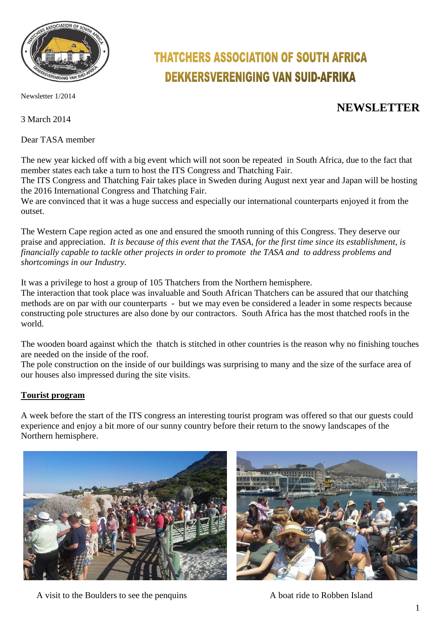

Newsletter 1/2014

3 March 2014

Dear TASA member

# **THATCHERS ASSOCIATION OF SOUTH AFRICA DEKKERSVERENIGING VAN SUID-AFRIKA**

# **NEWSLETTER**

The new year kicked off with a big event which will not soon be repeated in South Africa, due to the fact that member states each take a turn to host the ITS Congress and Thatching Fair.

The ITS Congress and Thatching Fair takes place in Sweden during August next year and Japan will be hosting the 2016 International Congress and Thatching Fair.

We are convinced that it was a huge success and especially our international counterparts enjoyed it from the outset.

The Western Cape region acted as one and ensured the smooth running of this Congress. They deserve our praise and appreciation. *It is because of this event that the TASA, for the first time since its establishment, is financially capable to tackle other projects in order to promote the TASA and to address problems and shortcomings in our Industry.*

It was a privilege to host a group of 105 Thatchers from the Northern hemisphere.

The interaction that took place was invaluable and South African Thatchers can be assured that our thatching methods are on par with our counterparts - but we may even be considered a leader in some respects because constructing pole structures are also done by our contractors. South Africa has the most thatched roofs in the world.

The wooden board against which the thatch is stitched in other countries is the reason why no finishing touches are needed on the inside of the roof.

The pole construction on the inside of our buildings was surprising to many and the size of the surface area of our houses also impressed during the site visits.

#### **Tourist program**

A week before the start of the ITS congress an interesting tourist program was offered so that our guests could experience and enjoy a bit more of our sunny country before their return to the snowy landscapes of the Northern hemisphere.





A visit to the Boulders to see the penquins A boat ride to Robben Island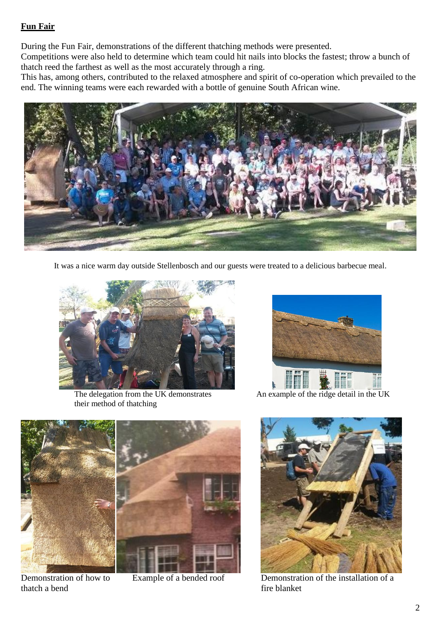#### **Fun Fair**

During the Fun Fair, demonstrations of the different thatching methods were presented.

Competitions were also held to determine which team could hit nails into blocks the fastest; throw a bunch of thatch reed the farthest as well as the most accurately through a ring.

This has, among others, contributed to the relaxed atmosphere and spirit of co-operation which prevailed to the end. The winning teams were each rewarded with a bottle of genuine South African wine.



It was a nice warm day outside Stellenbosch and our guests were treated to a delicious barbecue meal.



The delegation from the UK demonstrates An example of the ridge detail in the UK their method of thatching





thatch a bend fire blanket



Demonstration of how to Example of a bended roof Demonstration of the installation of a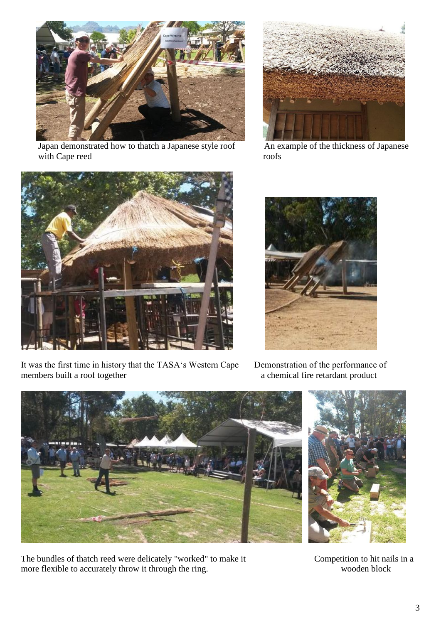

Japan demonstrated how to thatch a Japanese style roof An example of the thickness of Japanese with Cape reed roofs





It was the first time in history that the TASA's Western Cape Demonstration of the performance of members built a roof together a chemical fire retardant product



a chemical fire retardant product



The bundles of thatch reed were delicately "worked" to make it Competition to hit nails in a more flexible to accurately throw it through the ring. Wooden block

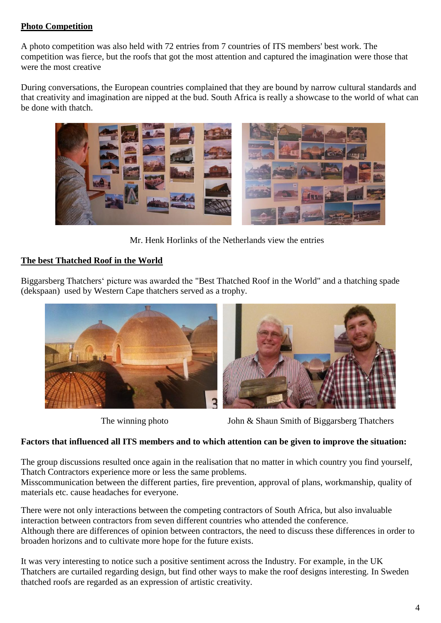### **Photo Competition**

A photo competition was also held with 72 entries from 7 countries of ITS members' best work. The competition was fierce, but the roofs that got the most attention and captured the imagination were those that were the most creative

During conversations, the European countries complained that they are bound by narrow cultural standards and that creativity and imagination are nipped at the bud. South Africa is really a showcase to the world of what can be done with thatch.



Mr. Henk Horlinks of the Netherlands view the entries

# **The best Thatched Roof in the World**

Biggarsberg Thatchers' picture was awarded the "Best Thatched Roof in the World" and a thatching spade (dekspaan) used by Western Cape thatchers served as a trophy.





The winning photo John & Shaun Smith of Biggarsberg Thatchers

# **Factors that influenced all ITS members and to which attention can be given to improve the situation:**

The group discussions resulted once again in the realisation that no matter in which country you find yourself, Thatch Contractors experience more or less the same problems.

Misscommunication between the different parties, fire prevention, approval of plans, workmanship, quality of materials etc. cause headaches for everyone.

There were not only interactions between the competing contractors of South Africa, but also invaluable interaction between contractors from seven different countries who attended the conference. Although there are differences of opinion between contractors, the need to discuss these differences in order to broaden horizons and to cultivate more hope for the future exists.

It was very interesting to notice such a positive sentiment across the Industry. For example, in the UK Thatchers are curtailed regarding design, but find other ways to make the roof designs interesting. In Sweden thatched roofs are regarded as an expression of artistic creativity.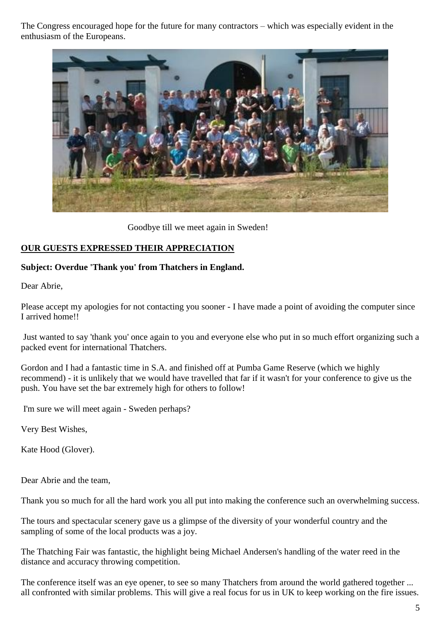The Congress encouraged hope for the future for many contractors – which was especially evident in the enthusiasm of the Europeans.



Goodbye till we meet again in Sweden!

### **OUR GUESTS EXPRESSED THEIR APPRECIATION**

#### **Subject: Overdue 'Thank you' from Thatchers in England.**

Dear Abrie,

Please accept my apologies for not contacting you sooner - I have made a point of avoiding the computer since I arrived home!!

Just wanted to say 'thank you' once again to you and everyone else who put in so much effort organizing such a packed event for international Thatchers.

Gordon and I had a fantastic time in S.A. and finished off at Pumba Game Reserve (which we highly recommend) - it is unlikely that we would have travelled that far if it wasn't for your conference to give us the push. You have set the bar extremely high for others to follow!

I'm sure we will meet again - Sweden perhaps?

Very Best Wishes,

Kate Hood (Glover).

Dear Abrie and the team,

Thank you so much for all the hard work you all put into making the conference such an overwhelming success.

The tours and spectacular scenery gave us a glimpse of the diversity of your wonderful country and the sampling of some of the local products was a joy.

The Thatching Fair was fantastic, the highlight being Michael Andersen's handling of the water reed in the distance and accuracy throwing competition.

The conference itself was an eye opener, to see so many Thatchers from around the world gathered together ... all confronted with similar problems. This will give a real focus for us in UK to keep working on the fire issues.